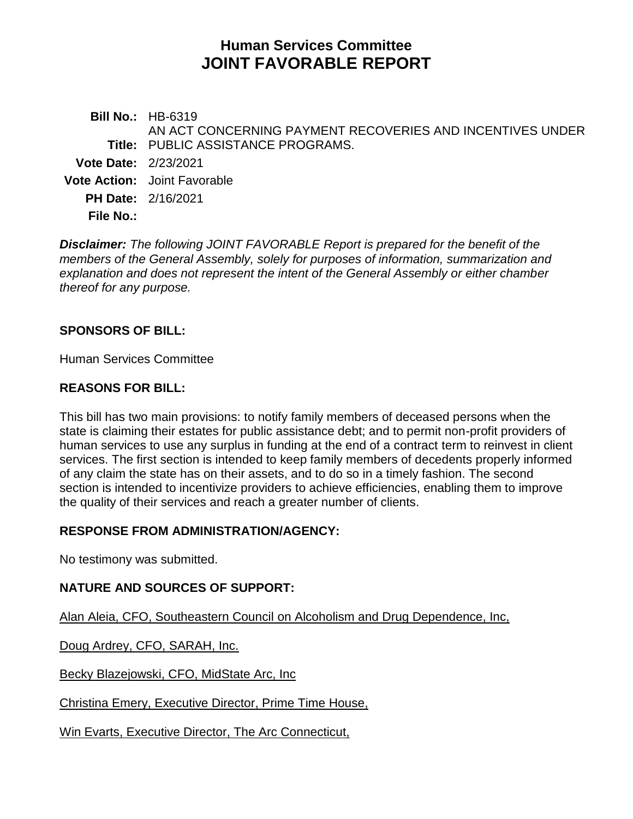# **Human Services Committee JOINT FAVORABLE REPORT**

**Bill No.:** HB-6319 **Title:** PUBLIC ASSISTANCE PROGRAMS. AN ACT CONCERNING PAYMENT RECOVERIES AND INCENTIVES UNDER **Vote Date:** 2/23/2021 **Vote Action:** Joint Favorable **PH Date:** 2/16/2021 **File No.:**

*Disclaimer: The following JOINT FAVORABLE Report is prepared for the benefit of the members of the General Assembly, solely for purposes of information, summarization and explanation and does not represent the intent of the General Assembly or either chamber thereof for any purpose.*

#### **SPONSORS OF BILL:**

Human Services Committee

#### **REASONS FOR BILL:**

This bill has two main provisions: to notify family members of deceased persons when the state is claiming their estates for public assistance debt; and to permit non-profit providers of human services to use any surplus in funding at the end of a contract term to reinvest in client services. The first section is intended to keep family members of decedents properly informed of any claim the state has on their assets, and to do so in a timely fashion. The second section is intended to incentivize providers to achieve efficiencies, enabling them to improve the quality of their services and reach a greater number of clients.

#### **RESPONSE FROM ADMINISTRATION/AGENCY:**

No testimony was submitted.

### **NATURE AND SOURCES OF SUPPORT:**

Alan Aleia, CFO, Southeastern Council on Alcoholism and Drug Dependence, Inc,

Doug Ardrey, CFO, SARAH, Inc.

Becky Blazejowski, CFO, MidState Arc, Inc

Christina Emery, Executive Director, Prime Time House,

Win Evarts, Executive Director, The Arc Connecticut,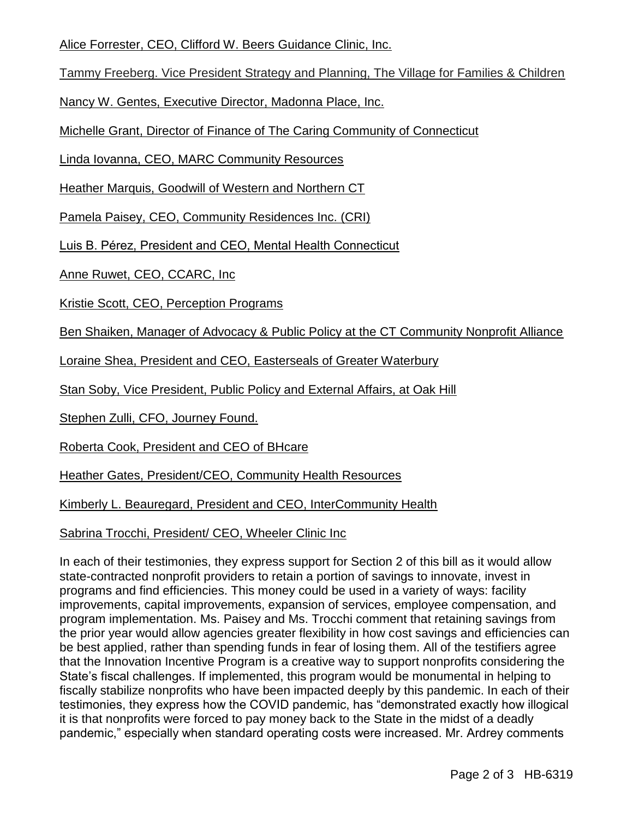Alice Forrester, CEO, Clifford W. Beers Guidance Clinic, Inc.

Tammy Freeberg. Vice President Strategy and Planning, The Village for Families & Children

Nancy W. Gentes, Executive Director, Madonna Place, Inc.

Michelle Grant, Director of Finance of The Caring Community of Connecticut

Linda Iovanna, CEO, MARC Community Resources

Heather Marquis, Goodwill of Western and Northern CT

Pamela Paisey, CEO, Community Residences Inc. (CRI)

Luis B. Pérez, President and CEO, Mental Health Connecticut

Anne Ruwet, CEO, CCARC, Inc

Kristie Scott, CEO, Perception Programs

Ben Shaiken, Manager of Advocacy & Public Policy at the CT Community Nonprofit Alliance

Loraine Shea, President and CEO, Easterseals of Greater Waterbury

Stan Soby, Vice President, Public Policy and External Affairs, at Oak Hill

Stephen Zulli, CFO, Journey Found.

Roberta Cook, President and CEO of BHcare

Heather Gates, President/CEO, Community Health Resources

Kimberly L. Beauregard, President and CEO, InterCommunity Health

Sabrina Trocchi, President/ CEO, Wheeler Clinic Inc

In each of their testimonies, they express support for Section 2 of this bill as it would allow state-contracted nonprofit providers to retain a portion of savings to innovate, invest in programs and find efficiencies. This money could be used in a variety of ways: facility improvements, capital improvements, expansion of services, employee compensation, and program implementation. Ms. Paisey and Ms. Trocchi comment that retaining savings from the prior year would allow agencies greater flexibility in how cost savings and efficiencies can be best applied, rather than spending funds in fear of losing them. All of the testifiers agree that the Innovation Incentive Program is a creative way to support nonprofits considering the State's fiscal challenges. If implemented, this program would be monumental in helping to fiscally stabilize nonprofits who have been impacted deeply by this pandemic. In each of their testimonies, they express how the COVID pandemic, has "demonstrated exactly how illogical it is that nonprofits were forced to pay money back to the State in the midst of a deadly pandemic," especially when standard operating costs were increased. Mr. Ardrey comments